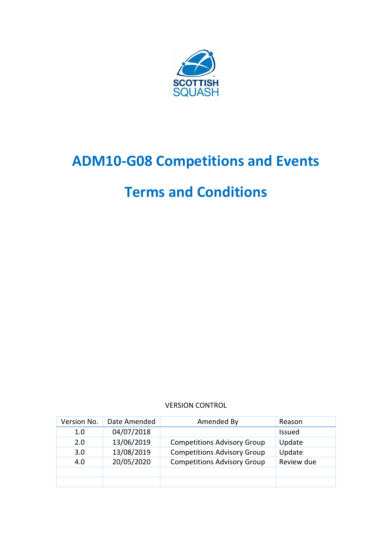

# **ADM10-G08 Competitions and Events**

## **Terms and Conditions**

#### VERSION CONTROL

| Version No. | Date Amended | Amended By                         | Reason        |
|-------------|--------------|------------------------------------|---------------|
| 1.0         | 04/07/2018   |                                    | <b>Issued</b> |
| 2.0         | 13/06/2019   | <b>Competitions Advisory Group</b> | Update        |
| 3.0         | 13/08/2019   | <b>Competitions Advisory Group</b> | Update        |
| 4.0         | 20/05/2020   | <b>Competitions Advisory Group</b> | Review due    |
|             |              |                                    |               |
|             |              |                                    |               |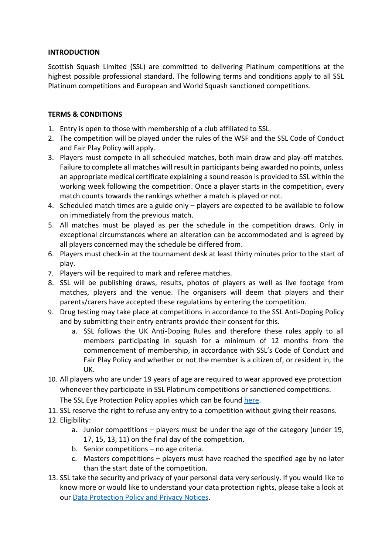### **INTRODUCTION**

Scottish Squash Limited (SSL) are committed to delivering Platinum competitions at the highest possible professional standard. The following terms and conditions apply to all SSL Platinum competitions and European and World Squash sanctioned competitions.

## **TERMS & CONDITIONS**

- 1. Entry is open to those with membership of a club affiliated to SSL.
- 2. The competition will be played under the rules of the WSF and the SSL Code of Conduct and Fair Play Policy will apply.
- 3. Players must compete in all scheduled matches, both main draw and play-off matches. Failure to complete all matches will result in participants being awarded no points, unless an appropriate medical certificate explaining a sound reason is provided to SSL within the working week following the competition. Once a player starts in the competition, every match counts towards the rankings whether a match is played or not.
- 4. Scheduled match times are a guide only players are expected to be available to follow on immediately from the previous match.
- 5. All matches must be played as per the schedule in the competition draws. Only in exceptional circumstances where an alteration can be accommodated and is agreed by all players concerned may the schedule be differed from.
- 6. Players must check-in at the tournament desk at least thirty minutes prior to the start of play.
- 7. Players will be required to mark and referee matches.
- 8. SSL will be publishing draws, results, photos of players as well as live footage from matches, players and the venue. The organisers will deem that players and their parents/carers have accepted these regulations by entering the competition.
- 9. Drug testing may take place at competitions in accordance to the SSL Anti-Doping Policy and by submitting their entry entrants provide their consent for this.
	- a. SSL follows the UK Anti-Doping Rules and therefore these rules apply to all members participating in squash for a minimum of 12 months from the commencement of membership, in accordance with SSL's Code of Conduct and Fair Play Policy and whether or not the member is a citizen of, or resident in, the UK.
- 10. All players who are under 19 years of age are required to wear approved eye protection whenever they participate in SSL Platinum competitions or sanctioned competitions. The SSL Eye Protection Policy applies which can be found [here.](https://www.scottishsquash.org/policies-procedures/#toggle-id-8)
- 11. SSL reserve the right to refuse any entry to a competition without giving their reasons.
- 12. Eligibility:
	- a. Junior competitions players must be under the age of the category (under 19, 17, 15, 13, 11) on the final day of the competition.
	- b. Senior competitions no age criteria.
	- c. Masters competitions players must have reached the specified age by no later than the start date of the competition.
- 13. SSL take the security and privacy of your personal data very seriously. If you would like to know more or would like to understand your data protection rights, please take a look at our Data Protection [Policy and Privacy Notices.](https://www.scottishsquash.org/policies-procedures/#toggle-id-15)